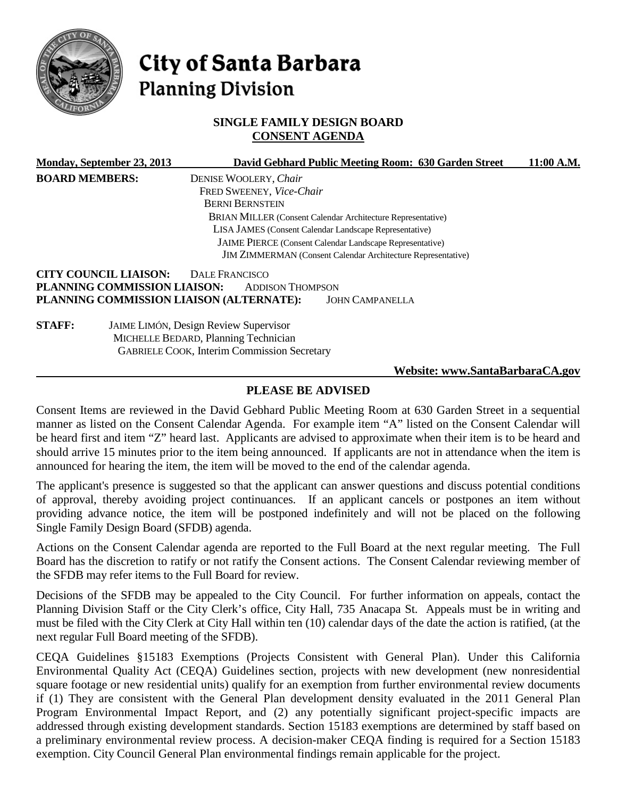

# City of Santa Barbara **Planning Division**

## **SINGLE FAMILY DESIGN BOARD CONSENT AGENDA**

|                       | Monday, September 23, 2013   | David Gebhard Public Meeting Room: 630 Garden Street                | 11:00 A.M. |
|-----------------------|------------------------------|---------------------------------------------------------------------|------------|
| <b>BOARD MEMBERS:</b> |                              | DENISE WOOLERY, Chair                                               |            |
|                       |                              | FRED SWEENEY, Vice-Chair                                            |            |
|                       |                              | <b>BERNI BERNSTEIN</b>                                              |            |
|                       |                              | <b>BRIAN MILLER (Consent Calendar Architecture Representative)</b>  |            |
|                       |                              | LISA JAMES (Consent Calendar Landscape Representative)              |            |
|                       |                              | JAIME PIERCE (Consent Calendar Landscape Representative)            |            |
|                       |                              | <b>JIM ZIMMERMAN</b> (Consent Calendar Architecture Representative) |            |
|                       | <b>CITY COUNCIL LIAISON:</b> | DALE FRANCISCO                                                      |            |
|                       | PLANNING COMMISSION LIAISON: | <b>ADDISON THOMPSON</b>                                             |            |
|                       |                              | PLANNING COMMISSION LIAISON (ALTERNATE):<br><b>JOHN CAMPANELLA</b>  |            |
| <b>STAFF:</b>         |                              | JAIME LIMÓN, Design Review Supervisor                               |            |
|                       |                              | MICHELLE BEDARD, Planning Technician                                |            |
|                       |                              | <b>GABRIELE COOK, Interim Commission Secretary</b>                  |            |
|                       |                              | Website: www.SantaBarbaraCA.gov                                     |            |

# **PLEASE BE ADVISED**

Consent Items are reviewed in the David Gebhard Public Meeting Room at 630 Garden Street in a sequential manner as listed on the Consent Calendar Agenda. For example item "A" listed on the Consent Calendar will be heard first and item "Z" heard last. Applicants are advised to approximate when their item is to be heard and should arrive 15 minutes prior to the item being announced. If applicants are not in attendance when the item is announced for hearing the item, the item will be moved to the end of the calendar agenda.

The applicant's presence is suggested so that the applicant can answer questions and discuss potential conditions of approval, thereby avoiding project continuances. If an applicant cancels or postpones an item without providing advance notice, the item will be postponed indefinitely and will not be placed on the following Single Family Design Board (SFDB) agenda.

Actions on the Consent Calendar agenda are reported to the Full Board at the next regular meeting. The Full Board has the discretion to ratify or not ratify the Consent actions. The Consent Calendar reviewing member of the SFDB may refer items to the Full Board for review.

Decisions of the SFDB may be appealed to the City Council. For further information on appeals, contact the Planning Division Staff or the City Clerk's office, City Hall, 735 Anacapa St. Appeals must be in writing and must be filed with the City Clerk at City Hall within ten (10) calendar days of the date the action is ratified, (at the next regular Full Board meeting of the SFDB).

CEQA Guidelines §15183 Exemptions (Projects Consistent with General Plan). Under this California Environmental Quality Act (CEQA) Guidelines section, projects with new development (new nonresidential square footage or new residential units) qualify for an exemption from further environmental review documents if (1) They are consistent with the General Plan development density evaluated in the 2011 General Plan Program Environmental Impact Report, and (2) any potentially significant project-specific impacts are addressed through existing development standards. Section 15183 exemptions are determined by staff based on a preliminary environmental review process. A decision-maker CEQA finding is required for a Section 15183 exemption. City Council General Plan environmental findings remain applicable for the project.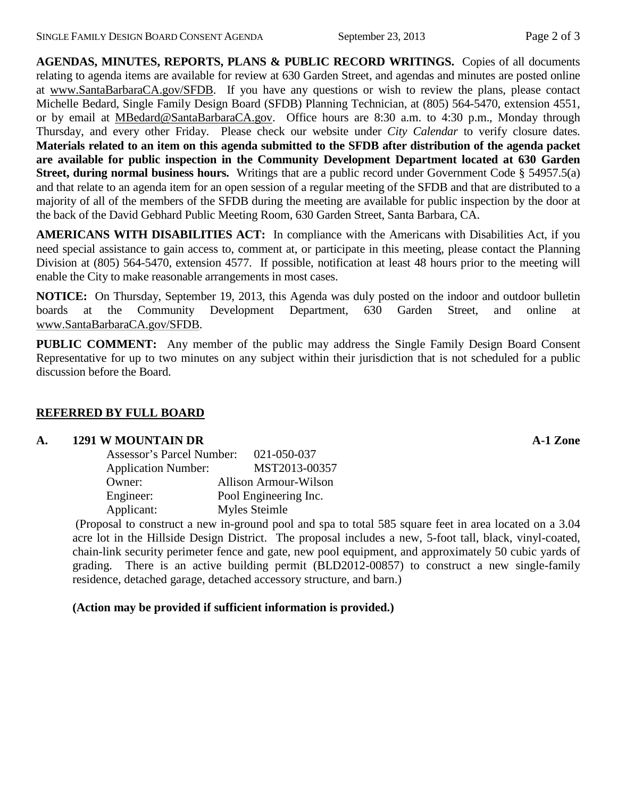**AGENDAS, MINUTES, REPORTS, PLANS & PUBLIC RECORD WRITINGS.** Copies of all documents relating to agenda items are available for review at 630 Garden Street, and agendas and minutes are posted online at [www.SantaBarbaraCA.gov/SFDB.](http://www.santabarbaraca.gov/ABR) If you have any questions or wish to review the plans, please contact Michelle Bedard, Single Family Design Board (SFDB) Planning Technician, at (805) 564-5470, extension 4551, or by email at [MBedard@SantaBarbaraCA.gov.](mailto:MBedard@SantaBarbaraCA.gov) Office hours are 8:30 a.m. to 4:30 p.m., Monday through Thursday, and every other Friday. Please check our website under *City Calendar* to verify closure dates. **Materials related to an item on this agenda submitted to the SFDB after distribution of the agenda packet are available for public inspection in the Community Development Department located at 630 Garden Street, during normal business hours.** Writings that are a public record under Government Code § 54957.5(a) and that relate to an agenda item for an open session of a regular meeting of the SFDB and that are distributed to a majority of all of the members of the SFDB during the meeting are available for public inspection by the door at the back of the David Gebhard Public Meeting Room, 630 Garden Street, Santa Barbara, CA.

**AMERICANS WITH DISABILITIES ACT:** In compliance with the Americans with Disabilities Act, if you need special assistance to gain access to, comment at, or participate in this meeting, please contact the Planning Division at (805) 564-5470, extension 4577. If possible, notification at least 48 hours prior to the meeting will enable the City to make reasonable arrangements in most cases.

**NOTICE:** On Thursday, September 19, 2013, this Agenda was duly posted on the indoor and outdoor bulletin boards at the Community Development Department, 630 Garden Street, and online at [www.SantaBarbaraCA.gov/SFDB.](http://www.santabarbaraca.gov/sfdb)

**PUBLIC COMMENT:** Any member of the public may address the Single Family Design Board Consent Representative for up to two minutes on any subject within their jurisdiction that is not scheduled for a public discussion before the Board.

## **REFERRED BY FULL BOARD**

#### **A. 1291 W MOUNTAIN DR A-1 Zone**

| <b>Assessor's Parcel Number:</b> | 021-050-037                  |
|----------------------------------|------------------------------|
| <b>Application Number:</b>       | MST2013-00357                |
| Owner:                           | <b>Allison Armour-Wilson</b> |
| Engineer:                        | Pool Engineering Inc.        |
| Applicant:                       | Myles Steimle                |

(Proposal to construct a new in-ground pool and spa to total 585 square feet in area located on a 3.04 acre lot in the Hillside Design District. The proposal includes a new, 5-foot tall, black, vinyl-coated, chain-link security perimeter fence and gate, new pool equipment, and approximately 50 cubic yards of grading. There is an active building permit (BLD2012-00857) to construct a new single-family residence, detached garage, detached accessory structure, and barn.)

## **(Action may be provided if sufficient information is provided.)**